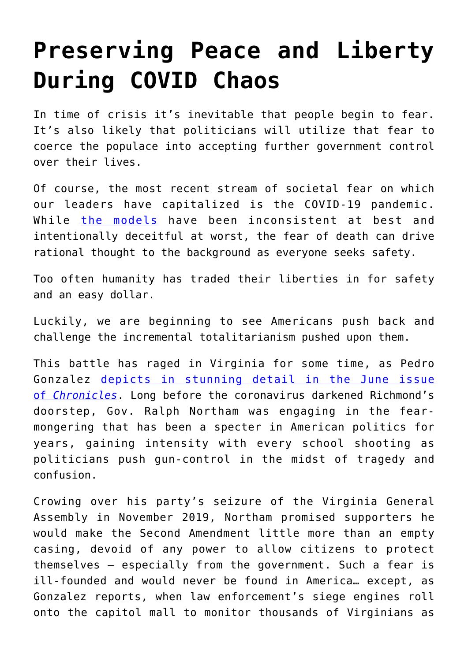## **[Preserving Peace and Liberty](https://intellectualtakeout.org/2020/05/preserving-peace-and-liberty-during-covid-chaos/) [During COVID Chaos](https://intellectualtakeout.org/2020/05/preserving-peace-and-liberty-during-covid-chaos/)**

In time of crisis it's inevitable that people begin to fear. It's also likely that politicians will utilize that fear to coerce the populace into accepting further government control over their lives.

Of course, the most recent stream of societal fear on which our leaders have capitalized is the COVID-19 pandemic. While [the models](https://www.intellectualtakeout.org/why-covid-19-models-arent-real-science/) have been inconsistent at best and intentionally deceitful at worst, the fear of death can drive rational thought to the background as everyone seeks safety.

Too often humanity has traded their liberties in for safety and an easy dollar.

Luckily, we are beginning to see Americans push back and challenge the incremental totalitarianism pushed upon them.

This battle has raged in Virginia for some time, as Pedro Gonzalez [depicts in stunning detail in the June issue](https://www.chroniclesmagazine.org/2020/June/44/6/magazine/article/10885736/) [of](https://www.chroniclesmagazine.org/2020/June/44/6/magazine/article/10885736/) *[Chronicles](https://www.chroniclesmagazine.org/2020/June/44/6/magazine/article/10885736/)*. Long before the coronavirus darkened Richmond's doorstep, Gov. Ralph Northam was engaging in the fearmongering that has been a specter in American politics for years, gaining intensity with every school shooting as politicians push gun-control in the midst of tragedy and confusion.

Crowing over his party's seizure of the Virginia General Assembly in November 2019, Northam promised supporters he would make the Second Amendment little more than an empty casing, devoid of any power to allow citizens to protect themselves – especially from the government. Such a fear is ill-founded and would never be found in America… except, as Gonzalez reports, when law enforcement's siege engines roll onto the capitol mall to monitor thousands of Virginians as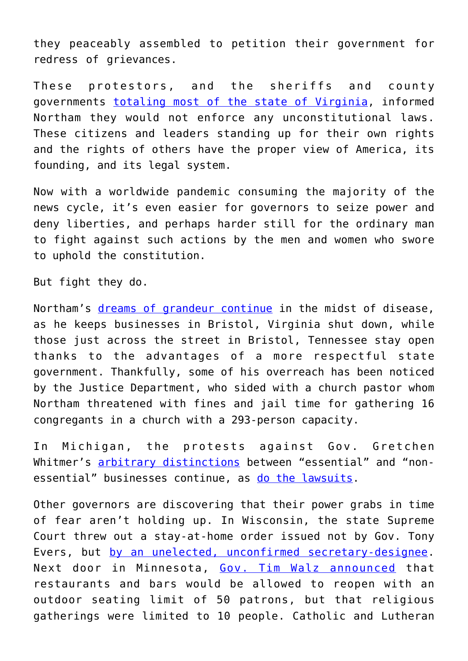they peaceably assembled to petition their government for redress of grievances.

These protestors, and the sheriffs and county governments [totaling most of the state of Virginia](https://www.intellectualtakeout.org/article/arms-battle-over-guns-virginia/), informed Northam they would not enforce any unconstitutional laws. These citizens and leaders standing up for their own rights and the rights of others have the proper view of America, its founding, and its legal system.

Now with a worldwide pandemic consuming the majority of the news cycle, it's even easier for governors to seize power and deny liberties, and perhaps harder still for the ordinary man to fight against such actions by the men and women who swore to uphold the constitution.

But fight they do.

Northam's [dreams of grandeur continue](https://www.intellectualtakeout.org/an-open-letter-to-the-tyrant-of-virginia/) in the midst of disease, as he keeps businesses in Bristol, Virginia shut down, while those just across the street in Bristol, Tennessee stay open thanks to the advantages of a more respectful state government. Thankfully, some of his overreach has been noticed by the Justice Department, who sided with a church pastor whom Northam threatened with fines and jail time for gathering 16 congregants in a church with a 293-person capacity.

In Michigan, the protests against Gov. Gretchen Whitmer's [arbitrary distinctions](https://www.intellectualtakeout.org/an-open-letter-to-the-tyrant-of-michigan/) between "essential" and "nonessential" businesses continue, as [do the lawsuits.](https://www.freep.com/story/news/local/michigan/2020/05/22/builders-lawsuit-gretchen-whitmer-coronavirus-work-rules/5242849002/)

Other governors are discovering that their power grabs in time of fear aren't holding up. In Wisconsin, the state Supreme Court threw out a stay-at-home order issued not by Gov. Tony Evers, but [by an unelected, unconfirmed secretary-designee.](https://www.intellectualtakeout.org/wisconsins-safer-at-home-order-unlawful-invalid-and-unenforceable/) Next door in Minnesota, [Gov. Tim Walz announced](https://www.intellectualtakeout.org/faced-with-legal-pushback-governors-are-backing-down/) that restaurants and bars would be allowed to reopen with an outdoor seating limit of 50 patrons, but that religious gatherings were limited to 10 people. Catholic and Lutheran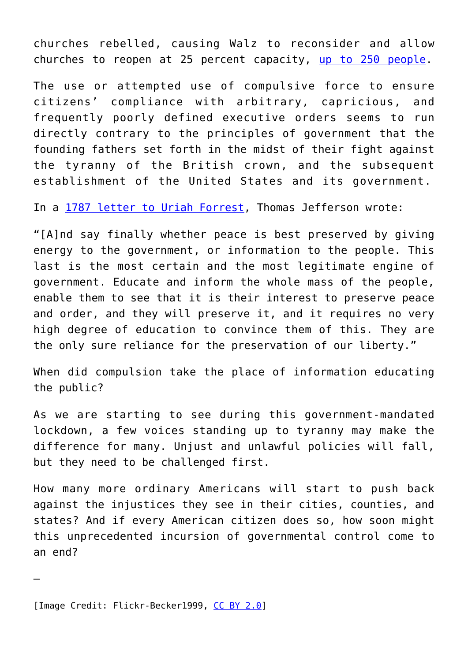churches rebelled, causing Walz to reconsider and allow churches to reopen at 25 percent capacity, [up to 250 people](https://mn.gov/governor/assets/EO%2020-62_tcm1055-433307.pdf).

The use or attempted use of compulsive force to ensure citizens' compliance with arbitrary, capricious, and frequently poorly defined executive orders seems to run directly contrary to the principles of government that the founding fathers set forth in the midst of their fight against the tyranny of the British crown, and the subsequent establishment of the United States and its government.

In a [1787 letter to Uriah Forrest,](https://founders.archives.gov/documents/Jefferson/01-12-02-0490) Thomas Jefferson wrote:

"[A]nd say finally whether peace is best preserved by giving energy to the government, or information to the people. This last is the most certain and the most legitimate engine of government. Educate and inform the whole mass of the people, enable them to see that it is their interest to preserve peace and order, and they will preserve it, and it requires no very high degree of education to convince them of this. They are the only sure reliance for the preservation of our liberty."

When did compulsion take the place of information educating the public?

As we are starting to see during this government-mandated lockdown, a few voices standing up to tyranny may make the difference for many. Unjust and unlawful policies will fall, but they need to be challenged first.

How many more ordinary Americans will start to push back against the injustices they see in their cities, counties, and states? And if every American citizen does so, how soon might this unprecedented incursion of governmental control come to an end?

—